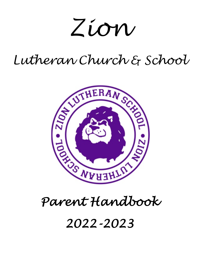*Zion*

# *Lutheran Church & School*



*2022-2023*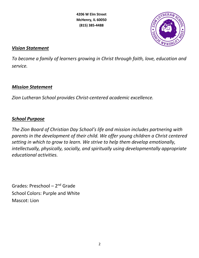**4206 W Elm Street McHenry, IL 60050 (815) 385-4488**



# *Vision Statement*

*To become a family of learners growing in Christ through faith, love, education and service.*

# *Mission Statement*

*Zion Lutheran School provides Christ-centered academic excellence.*

# *School Purpose*

*The Zion Board of Christian Day School's life and mission includes partnering with parents in the development of their child. We offer young children a Christ centered setting in which to grow to learn. We strive to help them develop emotionally, intellectually, physically, socially, and spiritually using developmentally appropriate educational activities.*

Grades: Preschool  $-2^{nd}$  Grade School Colors: Purple and White Mascot: Lion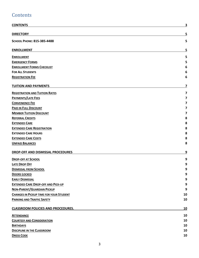# **Contents**

| <b>CONTENTS</b>                                | $\overline{\mathbf{3}}$ |
|------------------------------------------------|-------------------------|
| <b>DIRECTORY</b>                               | 5                       |
| SCHOOL PHONE: 815-385-4488                     | 5                       |
| <b>ENROLLMENT</b>                              | 5                       |
| <b>ENROLLMENT</b>                              | 5.                      |
| <b>EMERGENCY FORMS</b>                         | 5                       |
| <b>ENROLLMENT FORMS CHECKLIST</b>              | 6                       |
| <b>FOR ALL STUDENTS</b>                        | 6                       |
| <b>REGISTRATION FEE</b>                        | 6                       |
| <b>TUITION AND PAYMENTS</b>                    | 7                       |
| <b>REGISTRATION AND TUITION RATES</b>          | 7                       |
| <b>PAYMENTS/LATE FEES</b>                      | $\overline{\mathbf{z}}$ |
| <b>CONVENIENCE FEE</b>                         | 7                       |
| <b>PAID IN FULL DISCOUNT</b>                   | $\overline{\mathbf{z}}$ |
| <b>MEMBER TUITION DISCOUNT</b>                 | 7                       |
| <b>REFERRAL CREDITS</b>                        | 8                       |
| <b>EXTENDED CARE</b>                           | 8                       |
| <b>EXTENDED CARE REGISTRATION</b>              | 8                       |
| <b>EXTENDED CARE HOURS</b>                     | 8                       |
| <b>EXTENDED CARE COSTS</b>                     | 8                       |
| <b>UNPAID BALANCES</b>                         | 8                       |
| <b>DROP-OFF AND DISMISSAL PROCEDURES</b>       | 9                       |
| <b>DROP-OFF AT SCHOOL</b>                      | 9                       |
| <b>LATE DROP OFF</b>                           | 9                       |
| <b>DISMISSAL FROM SCHOOL</b>                   | a                       |
| <b>DOORS LOCKED</b>                            | 9                       |
| <b>EARLY DISMISSAL</b>                         | 9                       |
| <b>EXTENDED CARE DROP-OFF AND PICK-UP</b>      | 9                       |
| <b>NON-PARENT/GUARDIAN PICKUP</b>              | 9                       |
| <b>CHANGES IN PICKUP TIME FOR YOUR STUDENT</b> | 10                      |
| <b>PARKING AND TRAFFIC SAFETY</b>              | 10                      |
| <b>CLASSROOM POLICIES AND PROCEDURES.</b>      | <u>10</u>               |
| <b>ATTENDANCE</b>                              | 10                      |
| <b>COURTESY AND CONSIDERATION</b>              | 10                      |
| <b>BIRTHDAYS</b>                               | 10                      |
| <b>DISCIPLINE IN THE CLASSROOM</b>             | 10                      |
| <b>DRESS CODE</b>                              | 10                      |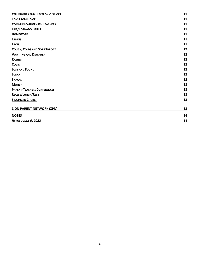| 11        |
|-----------|
| 11        |
| 11        |
| 11        |
| 11        |
| 11        |
| 11        |
| 12        |
| 12        |
| 12        |
| 12        |
| 12        |
| 12        |
| 12        |
| 13        |
| 13        |
| 13        |
| 13        |
| <u>13</u> |
| 14        |
| 14        |
|           |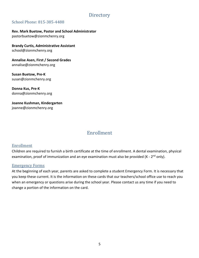## **Directory**

#### School Phone: 815-385-4488

**Rev. Mark Buetow, Pastor and School Administrator**  pastorbuetow@zionmchenry.org

**Brandy Curtis, Administrative Assistant**  school@zionmchenry.org

**Annalise Asen, First / Second Grades** annalise@zionmchenry.org

**Susan Buetow, Pre-K** susan@zionmchenry.org

**Donna Kus, Pre-K** donna@zionmchenry.org

**Joanne Kushman, Kindergarten**  joanne@zionmchenry.org

# Enrollment

#### Enrollment

Children are required to furnish a birth certificate at the time of enrollment. A dental examination, physical examination, proof of immunization and an eye examination must also be provided (K - 2<sup>nd</sup> only).

#### **Emergency Forms**

At the beginning of each year, parents are asked to complete a student Emergency Form. It is necessary that you keep these current. It is the information on these cards that our teachers/school office use to reach you when an emergency or questions arise during the school year. Please contact us any time if you need to change a portion of the information on the card.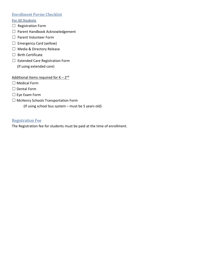#### **Enrollment Forms Checklist**

For All Students

- □ Registration Form
- ☐ Parent Handbook Acknowledgement
- □ Parent Volunteer Form
- $\Box$  Emergency Card (yellow)
- ☐ Media & Directory Release
- ☐ Birth Certificate
- ☐ Extended Care Registration Form (If using extended care)

Additional Items required for  $K - 2^{nd}$ 

- ☐ Medical Form
- ☐ Dental Form
- ☐ Eye Exam Form
- ☐ McHenry Schools Transportation Form

(If using school bus system – must be 5 years old)

### **Registration Fee**

The Registration fee for students must be paid at the time of enrollment.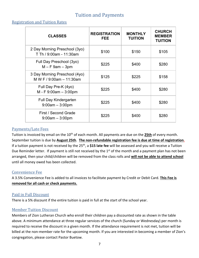# **Tuition and Payments**

#### **Registration and Tuition Rates**

| <b>CLASSES</b>                                            | <b>REGISTRATION</b><br>FEE | <b>MONTHLY</b><br><b>TUITION</b> | <b>CHURCH</b><br><b>MEMBER</b><br><b>TUITION</b> |
|-----------------------------------------------------------|----------------------------|----------------------------------|--------------------------------------------------|
| 2 Day Morning Preschool (3yo)<br>T Th / 9:00am - 11:30am  | \$100                      | \$150                            | \$105                                            |
| Full Day Preschool (3yo)<br>$M - F$ 9am $-$ 3pm           | \$225                      | \$400                            | \$280                                            |
| 3 Day Morning Preschool (4yo)<br>M W F / 9:00am - 11:30am | \$125                      | \$225                            | \$158                                            |
| Full Day Pre-K (4yo)<br>$M - F$ 9:00am $-$ 3:00pm         | \$225                      | \$400                            | \$280                                            |
| <b>Full Day Kindergarten</b><br>$9:00am - 3:00pm$         | \$225                      | \$400                            | \$280                                            |
| First / Second Grade<br>$9:00am - 3:00pm$                 | \$225                      | \$400                            | \$280                                            |

#### Payments/Late Fees

Tuition is invoiced by email on the 10<sup>th</sup> of each month. All payments are due on the 25th of every month. September tuition is due by **August 25th**. **The non-refundable registration fee is due at time of registration.** If a tuition payment is not received by the 25<sup>th</sup>, a \$15 late fee will be assessed and you will receive a Tuition Due Reminder letter. If payment is still not received by the  $1<sup>st</sup>$  of the month and a payment plan has not been arranged, then your child/children will be removed from the class rolls and **will not be able to attend school** until all money owed has been collected.

#### Convenience Fee

A 3.5% Convenience Fee is added to all invoices to facilitate payment by Credit or Debit Card. **This Fee is removed for all cash or check payments.**

#### Paid in Full Discount

There is a 5% discount if the entire tuition is paid in full at the start of the school year.

#### **Member Tuition Discount**

Members of Zion Lutheran Church who enroll their children pay a discounted rate as shown in the table above. A minimum attendance at three regular services of the church (Sunday or Wednesday) per month is required to receive the discount in a given month. If the attendance requirement is not met, tuition will be billed at the non-member rate for the upcoming month. If you are interested in becoming a member of Zion's congregation, please contact Pastor Buetow.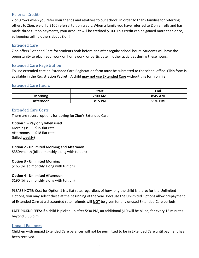#### Referral Credits

Zion grows when you refer your friends and relatives to our school! In order to thank families for referring others to Zion, we off a \$100 referral tuition credit. When a family you have referred to Zion enrolls and has made three tuition payments, your account will be credited \$100. This credit can be gained more than once, so keeping telling others about Zion!

#### **Extended Care**

Zion offers Extended Care for students both before and after regular school hours. Students will have the opportunity to play, read, work on homework, or participate in other activities during these hours.

#### Extended Care Registration

To use extended care an Extended Care Registration form must be submitted to the school office. (This form is available in the Registration Packet). A child **may not use Extended Care** without this form on file.

#### Extended Care Hours

|                | <b>Start</b> | End     |
|----------------|--------------|---------|
| <b>Morning</b> | 7:00 AM      | 8:45 AM |
| Afternoon      | 3:15 PM      | 5:30 PM |

#### Extended Care Costs

There are several options for paying for Zion's Extended Care

#### **Option 1 – Pay only when used**

Mornings: \$15 flat rate Afternoons: \$18 flat rate (billed weekly)

#### **Option 2 - Unlimited Morning and Afternoon**

\$350/month (billed monthly along with tuition)

#### **Option 3 - Unlimited Morning**

\$165 (billed monthly along with tuition)

#### **Option 4 - Unlimited Afternoon**

\$190 (billed monthly along with tuition)

PLEASE NOTE: Cost for Option 1 is a flat rate, regardless of how long the child is there; for the Unlimited Options, you may select these at the beginning of the year. Because the Unlimited Options allow prepayment of Extended Care at a discounted rate, refunds will **NOT** be given for any unused Extended Care periods.

**LATE PICKUP FEES:** If a child is picked up after 5:30 PM, an additional \$10 will be billed, for every 15 minutes beyond 5:30 p.m.

#### Unpaid Balances

Children with unpaid Extended Care balances will not be permitted to be in Extended Care until payment has been received.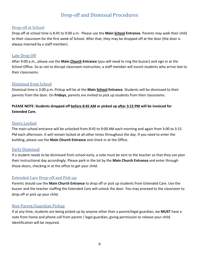# Drop-off and Dismissal Procedures

#### Drop-off at School

Drop-off at school time is 8:45 to 9:00 a.m. Please use the **Main School Entrance**. Parents may walk their child to their classroom for the first week of School. After that, they may be dropped off at the door (the door is always manned by a staff member).

#### Late Drop Off

After 9:00 a.m., please use the **Main Church Entrance** (you will need to ring the buzzer) and sign in at the School Office. So as not to disrupt classroom instruction, a staff member will escort students who arrive late to their classrooms.

#### Dismissal from School

Dismissal time is 3:00 p.m. Pickup will be at the **Main School Entrance**. Students will be dismissed to their parents from the door. On **Fridays**, parents are invited to pick up students from their classrooms.

#### **PLEASE NOTE: Students dropped off before 8:45 AM or picked up after 3:15 PM will be invoiced for Extended Care.**

#### Doors Locked

The main school entrance will be unlocked from 8:45 to 9:00 AM each morning and again from 3:00 to 3:15 PM each afternoon. It will remain locked at all other times throughout the day. If you need to enter the building, please use the **Main Church Entrance** and check in at the Office.

#### Early Dismissal

If a student needs to be dismissed from school early, a note must be sent to the teacher so that they can plan their instructional day accordingly. Please park in the lot by the **Main Church Entrance** and enter through those doors, checking in at the office to get your child.

#### Extended Care Drop-off and Pick-up

Parents should use the **Main Church Entrance** to drop off or pick up students from Extended Care. Use the buzzer and the teacher staffing the Extended Care will unlock the door. You may proceed to the classroom to drop off or pick up your child.

#### Non-Parent/Guardian Pickup

If at any time, students are being picked up by anyone other than a parent/legal guardian, we **MUST** have a note from home and phone call from parent / legal guardian, giving permission to release your child. Identification will be required.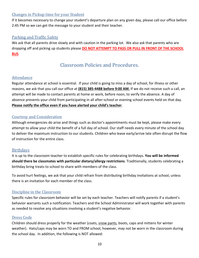#### Changes in Pickup time for your Student

If it becomes necessary to change your student's departure plan on any given day, please call our office before 2:45 PM so we can get the message to your student and their teacher.

#### Parking and Traffic Safety

We ask that all parents drive slowly and with caution in the parking lot. We also ask that parents who are dropping off and picking up students please **DO NOT ATTEMPT TO PASS OR PULL IN FRONT OF THE SCHOOL BUS**.

# Classroom Policies and Procedures.

#### Attendance

Regular attendance at school is essential. If your child is going to miss a day of school, for illness or other reasons, we ask that you call our office at **(815) 385-4488 before 9:00 AM.** If we do not receive such a call, an attempt will be made to contact parents at home or work, before noon, to verify the absence. A day of absence prevents your child from participating in all after-school or evening school events held on that day. **Please notify the office even if you have alerted your child's teacher**.

#### Courtesy and Consideration

Although emergencies do arise and things such as doctor's appointments must be kept, please make every attempt to allow your child the benefit of a full day of school. Our staff needs every minute of the school day to deliver the maximum instruction to our students. Children who leave early/arrive late often disrupt the flow of instruction for the entire class.

#### **Birthdays**

It is up to the classroom teacher to establish specific rules for celebrating birthdays. **You will be informed should there be classmates with particular dietary/allergy restrictions**. Traditionally, students celebrating a birthday bring treats to school to share with members of the class.

To avoid hurt feelings, we ask that your child refrain from distributing birthday invitations at school, unless there is an invitation for each member of the class.

#### Discipline in the Classroom

Specific rules for classroom behavior will be set by each teacher. Teachers will notify parents if a student's behavior warrants such a notification. Teachers and the School Administrator will work together with parents as needed to resolve any situations involving a student's negative behavior.

#### Dress Code

Children should dress properly for the weather (coats, snow pants, boots, caps and mittens for winter weather). Hats/caps may be worn TO and FROM school, however, may not be worn in the classroom during the school day. In addition, the following is NOT allowed: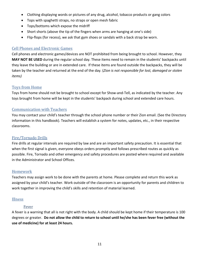- Clothing displaying words or pictures of any drug, alcohol, tobacco products or gang colors
- Tops with spaghetti straps, no straps or open mesh fabric
- Tops/bottoms which expose the midriff
- Short shorts (above the tip of the fingers when arms are hanging at one's side)
- Flip-flops (for recess), we ask that gym shoes or sandals with a back strap be worn.

#### Cell Phones and Electronic Games

Cell phones and electronic games/devices are NOT prohibited from being brought to school. However, they **MAY NOT BE USED** during the regular school day. These items need to remain in the students' backpacks until they leave the building or are in extended care. If these items are found outside the backpacks, they will be taken by the teacher and returned at the end of the day. (*Zion is not responsible for lost, damaged or stolen items)*

#### Toys from Home

Toys from home should not be brought to school except for Show-and-Tell, as indicated by the teacher. Any toys brought from home will be kept in the students' backpack during school and extended care hours.

#### **Communication with Teachers**

You may contact your child's teacher through the school phone number or their Zion email. (See the Directory information in this handbook). Teachers will establish a system for notes, updates, etc., in their respective classrooms.

#### Fire/Tornado Drills

Fire drills at regular intervals are required by law and are an important safety precaution. It is essential that when the first signal is given, everyone obeys orders promptly and follows prescribed routes as quickly as possible. Fire, Tornado and other emergency and safety procedures are posted where required and available in the Administrator and School Offices.

#### Homework

Teachers may assign work to be done with the parents at home. Please complete and return this work as assigned by your child's teacher. Work outside of the classroom is an opportunity for parents and children to work together in improving the child's skills and retention of material learned.

#### Illness

#### Fever

A fever is a warning that all is not right with the body. A child should be kept home if their temperature is 100 degrees or greater. **Do not allow the child to return to school until he/she has been fever free (without the use of medicine) for at least 24 hours.**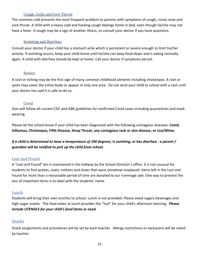#### Cough, Colds and Sore Throat

The common cold presents the most frequent problem to parents with symptoms of cough, runny nose and sore throat. A child with a heavy cold and hacking cough belongs home in bed, even though he/she may not have a fever. A cough may be a sign of another illness, so consult your doctor if you have questions.

#### Vomiting and Diarrhea

Consult your doctor if your child has a stomach ache which is persistent or severe enough to limit his/her activity. If vomiting occurs, keep your child home until he/she can keep food down and is eating normally again. A child with diarrhea should be kept at home. Call your doctor if symptoms persist.

#### Rashes

A rash or itching may be the first sign of many common childhood ailments including chickenpox. A rash or spots may cover the entire body or appear in only one area. Do not send your child to school with a rash until your doctor has said it is safe to do so.

#### Covid

Zion will follow all current CDC and ISBE guidelines for confirmed Covid cases including quarantines and mask wearing.

Please let the school know if your child has been diagnosed with the following contagious diseases: **Covid, Influenza, Chickenpox, Fifth Disease, Strep Throat, any contagious rash or skin disease, or Lice/Mites.**

*If a child is determined to have a temperature of 100 degrees, is vomiting, or has diarrhea - a parent / guardian will be notified to pick up the child from school.*

#### **Lost and Found**

A "Lost and Found" bin is maintained in the hallway by the School Director's office. It is not unusual for students to find jackets, coats, mittens and shoes that were somehow misplaced. Items left in the Lost and Found for more than a reasonable period of time are donated to our rummage sale. One way to prevent the loss of important items is to label with the students' name.

#### Lunch

Students will bring their own lunches to school. Lunch is not provided. Please avoid sugary beverages and high-sugar snacks. The food eaten at lunch provides the "fuel" for your child's afternoon learning. *Please include UTENSILS for your child's food items or need.*

#### **Snacks**

Snack assignments and procedures will be set by each teacher. Allergy restrictions or exclusions will be noted by teacher.

12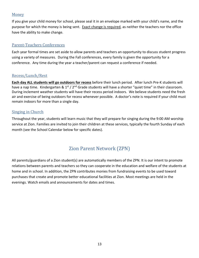#### Money

If you give your child money for school, please seal it in an envelope marked with your child's name, and the purpose for which the money is being sent. Exact change is required, as neither the teachers nor the office have the ability to make change.

#### Parent-Teachers Conferences

Each year formal times are set aside to allow parents and teachers an opportunity to discuss student progress using a variety of measures. During the Fall conferences, every family is given the opportunity for a conference. Any time during the year a teacher/parent can request a conference if needed.

#### Recess/Lunch/Rest

**Each day ALL students will go outdoors for recess** before their lunch period. After lunch Pre-K students will have a nap time. Kindergarten & 1<sup>st</sup> / 2<sup>nd</sup> Grade students will have a shorter "quiet time" in their classroom. During inclement weather students will have their recess period indoors. We believe students need the fresh air and exercise of being outdoors for recess whenever possible. A doctor's note is required if your child must remain indoors for more than a single day.

#### Singing in Church

Throughout the year, students will learn music that they will prepare for singing during the 9:00 AM worship service at Zion. Families are invited to join their children at these services, typically the fourth Sunday of each month (see the School Calendar below for specific dates).

# Zion Parent Network (ZPN)

All parents/guardians of a Zion student(s) are automatically members of the ZPN. It is our intent to promote relations between parents and teachers so they can cooperate in the education and welfare of the students at home and in school. In addition, the ZPN contributes monies from fundraising events to be used toward purchases that create and promote better educational facilities at Zion. Most meetings are held in the evenings. Watch emails and announcements for dates and times.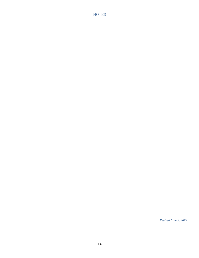#### **NOTES**

*Revised June 9, 2022*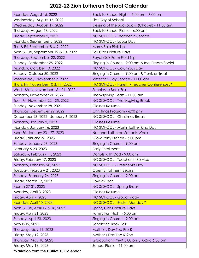# **2022-23 Zion Lutheran School Calendar**

| Monday, August 15, 2022             | Back to School Night - 5:00 pm - 7:00 pm       |
|-------------------------------------|------------------------------------------------|
| Wednesday, August 17, 2022          | First Day of School                            |
| Wednesday, August 17, 2022          | Blessing of the Backpacks (Chapel) - 11:00 am  |
| Thursday, August 18, 2022           | Back to School Picnic - 6:00 pm                |
| Friday, September 2, 2022           | NO SCHOOL - Teacher In-Service                 |
| Monday, September 5, 2022           | NO SCHOOL - Labor Day                          |
| Thu & Fri, September 8 & 9, 2022    | Mums Sale Pick-Up                              |
| Mon & Tue, September 12 & 13, 2022  | <b>Fall Class Picture Days</b>                 |
| Thursday, September 22, 2022        | Royal Oak Farm Field Trip                      |
| Sunday, September 25, 2022          | Singing in Church - 9:00 am & Ice Cream Social |
| Monday, October 10, 2022            | NO SCHOOL - Columbus Day                       |
| Sunday, October 30, 2022            | Singing in Church - 9:00 am & Trunk-or-Treat   |
| Wednesday, November 9, 2022         | Veteran's Day Service - 11:00 am               |
| Thu & Fri, November 10 & 11, 2022   | NO SCHOOL - Parent / Teacher Conferences *     |
| Wed - Mon, November 16 - 21, 2022   | Scholastic Book Fair                           |
| Monday, November 21, 2022           | Thanksgiving Feast - 11:00 am                  |
| Tue - Fri, November 22 - 25, 2022   | NO SCHOOL - Thanksgiving Break                 |
| Sunday, November 28, 2021           | <b>Classes Resume</b>                          |
| Thursday, December 22, 2022         | Christmas Program - 6:00 pm                    |
| December 23, 2022 - January 6, 2023 | NO SCHOOL - Christmas Break                    |
| Monday, January 9, 2023             | <b>Classes Resume</b>                          |
| Monday, January 16, 2023            | NO SCHOOL - Martin Luther King Day             |
| Mon-Fri, January 23 - 27, 2023      | National Lutheran Schools Week                 |
| Friday, January 27, 2023            | Glow Party Dance - 6:00 pm                     |
| Sunday, January 29, 2023            | Singing in Church - 9:00 am                    |
| February 6-20, 2023                 | <b>Early Enrollment</b>                        |
| Saturday, February 11, 2023         | Donuts with Dad - 9:00 am                      |
| Friday, February 17, 2023           | NO SCHOOL - Teacher In-Service                 |
| Monday, February 20, 2023           | NO SCHOOL - President's Day                    |
| Tuesday, February 21, 2023          | <b>Open Enrollment Begins</b>                  |
| Sunday, February 26, 2023           | Singing in Church - 9:00 am                    |
| Friday, March 17, 2023              | Bowl-a-Thon                                    |
| March 27-31, 2023                   | NO SCHOOL - Spring Break                       |
| Monday, April 3, 2023               | <b>Classes Resume</b>                          |
| Friday, April 7, 2023               | NO SCHOOL - Good Friday                        |
| Monday, April 10, 2023              | NO SCHOOL - Easter Monday *                    |
| Mon & Tue, April 17 & 18, 2023      | <b>Spring Class Picture Days</b>               |
| Friday, April 21, 2023              | Family Fun Night - 5:00 pm                     |
| Sunday, April 23, 2023              | Singing in Church - 9:00 am                    |
| May 8-12, 2023                      | Scholastic Book Fair                           |
| Thursday, May 11, 2023              | Mother's Day Tea Pre-K                         |
| Friday, May 12, 2023                | Mother's Day Tea K-2nd                         |
| Thursday, May 18, 2023              | Graduation: Pre-K 5:00 pm / K-2nd 6:00 pm      |
| Friday, May 19, 2023                | School Picnic - 11:00 am                       |

**\*Variation from the District 15 Calendar**